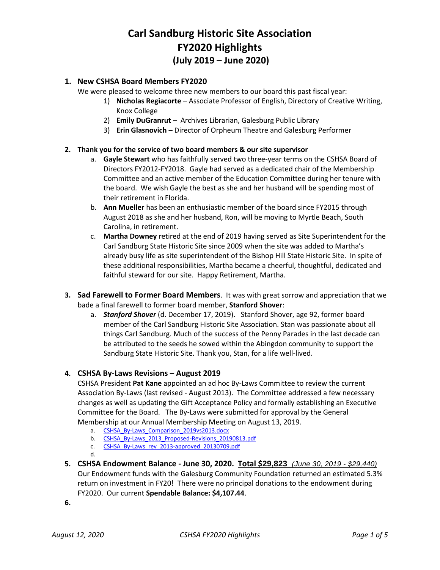# **Carl Sandburg Historic Site Association FY2020 Highlights (July 2019 – June 2020)**

# **1. New CSHSA Board Members FY2020**

We were pleased to welcome three new members to our board this past fiscal year:

- 1) **Nicholas Regiacorte** Associate Professor of English, Directory of Creative Writing, Knox College
- 2) **Emily DuGranrut** Archives Librarian, Galesburg Public Library
- 3) **Erin Glasnovich** Director of Orpheum Theatre and Galesburg Performer

#### **2. Thank you for the service of two board members & our site supervisor**

- a. **Gayle Stewart** who has faithfully served two three-year terms on the CSHSA Board of Directors FY2012-FY2018. Gayle had served as a dedicated chair of the Membership Committee and an active member of the Education Committee during her tenure with the board. We wish Gayle the best as she and her husband will be spending most of their retirement in Florida.
- b. **Ann Mueller** has been an enthusiastic member of the board since FY2015 through August 2018 as she and her husband, Ron, will be moving to Myrtle Beach, South Carolina, in retirement.
- c. **Martha Downey** retired at the end of 2019 having served as Site Superintendent for the Carl Sandburg State Historic Site since 2009 when the site was added to Martha's already busy life as site superintendent of the Bishop Hill State Historic Site. In spite of these additional responsibilities, Martha became a cheerful, thoughtful, dedicated and faithful steward for our site. Happy Retirement, Martha.
- **3. Sad Farewell to Former Board Members**. It was with great sorrow and appreciation that we bade a final farewell to former board member, **Stanford Shover**:
	- a. *Stanford Shover* (d. December 17, 2019). Stanford Shover, age 92, former board member of the Carl Sandburg Historic Site Association. Stan was passionate about all things Carl Sandburg. Much of the success of the Penny Parades in the last decade can be attributed to the seeds he sowed within the Abingdon community to support the Sandburg State Historic Site. Thank you, Stan, for a life well-lived.

## **4. CSHSA By-Laws Revisions – August 2019**

CSHSA President **Pat Kane** appointed an ad hoc By-Laws Committee to review the current Association By-Laws (last revised - August 2013). The Committee addressed a few necessary changes as well as updating the Gift Acceptance Policy and formally establishing an Executive Committee for the Board. The By-Laws were submitted for approval by the General Membership at our Annual Membership Meeting on August 13, 2019.

- a. CSHSA By-Laws Comparison 2019vs2013.docx
- b. [CSHSA\\_By-Laws\\_2013\\_Proposed-Revisions\\_20190813.pdf](https://www.dropbox.com/s/2hcsg78k4cmk6vl/CSHSA_By%20Laws-2013_Proposed-Revisions_2019_DRAFT-Tracking-Removed_jrs.pdf?dl=0)
- c. [CSHSA\\_By-Laws\\_rev\\_2013-approved\\_20130709.pdf](https://www.dropbox.com/s/ng4iyp76n289u2d/CSHSA_By%20Laws_rev_2013-approved_20130709.pdf?dl=0)
- d.
- **5. CSHSA Endowment Balance - June 30, 2020. Total \$29,823** *(June 30, 2019 - \$29,440)* Our Endowment funds with the Galesburg Community Foundation returned an estimated 5.3% return on investment in FY20! There were no principal donations to the endowment during FY2020. Our current **Spendable Balance: \$4,107.44**.

**6.**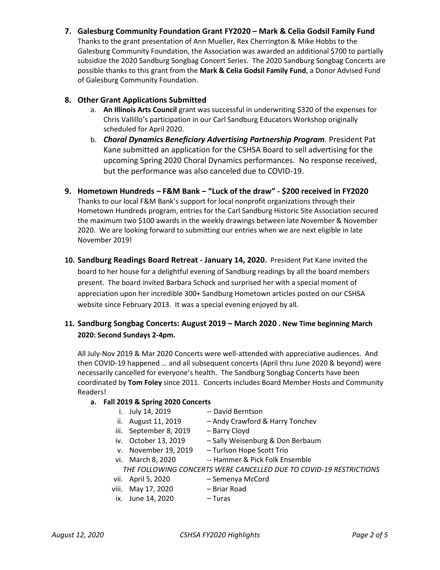**7. Galesburg Community Foundation Grant FY2020 – Mark & Celia Godsil Family Fund**

Thanks to the grant presentation of Ann Mueller, Rex Cherrington & Mike Hobbs to the Galesburg Community Foundation, the Association was awarded an additional \$700 to partially subsidize the 2020 Sandburg Songbag Concert Series. The 2020 Sandburg Songbag Concerts are possible thanks to this grant from the **Mark & Celia Godsil Family Fund**, a Donor Advised Fund of Galesburg Community Foundation.

#### **8. Other Grant Applications Submitted**

- a. **An Illinois Arts Council** grant was successful in underwriting \$320 of the expenses for Chris Vallillo's participation in our Carl Sandburg Educators Workshop originally scheduled for April 2020.
- b. *Choral Dynamics Beneficiary Advertising Partnership Program*. President Pat Kane submitted an application for the CSHSA Board to sell advertising for the upcoming Spring 2020 Choral Dynamics performances. No response received, but the performance was also canceled due to COVID-19.
- **9. Hometown Hundreds – F&M Bank – "Luck of the draw" - \$200 received in FY2020** Thanks to our local F&M Bank's support for local nonprofit organizations through their Hometown Hundreds program, entries for the Carl Sandburg Historic Site Association secured the maximum two \$100 awards in the weekly drawings between late November & November 2020. We are looking forward to submitting our entries when we are next eligible in late November 2019!
- **10. Sandburg Readings Board Retreat - January 14, 2020.** President Pat Kane invited the board to her house for a delightful evening of Sandburg readings by all the board members present. The board invited Barbara Schock and surprised her with a special moment of appreciation upon her incredible 300+ Sandburg Hometown articles posted on our CSHSA website since February 2013. It was a special evening enjoyed by all.

# **11. Sandburg Songbag Concerts: August 2019 – March 2020 . New Time beginning March 2020: Second Sundays 2-4pm.**

All July-Nov 2019 & Mar 2020 Concerts were well-attended with appreciative audiences. And then COVID-19 happened … and all subsequent concerts (April thru June 2020 & beyond) were necessarily cancelled for everyone's health. The Sandburg Songbag Concerts have been coordinated by **Tom Foley** since 2011. Concerts includes Board Member Hosts and Community Readers!

## **a. Fall 2019 & Spring 2020 Concerts**

- i. July 14, 2019 -- David Berntson
- ii. August 11, 2019 Andy Crawford & Harry Tonchev
- iii. September 8, 2019 Barry Cloyd
- iv. October 13, 2019 Sally Weisenburg & Don Berbaum
- v. November 19, 2019 Turlson Hope Scott Trio
- vi. March 8, 2020 -- Hammer & Pick Folk Ensemble

*THE FOLLOWING CONCERTS WERE CANCELLED DUE TO COVID-19 RESTRICTIONS*

- vii. April 5, 2020 Semenya McCord
- viii. May 17, 2020 Briar Road<br>ix. June 14, 2020 Turas
- ix. June 14, 2020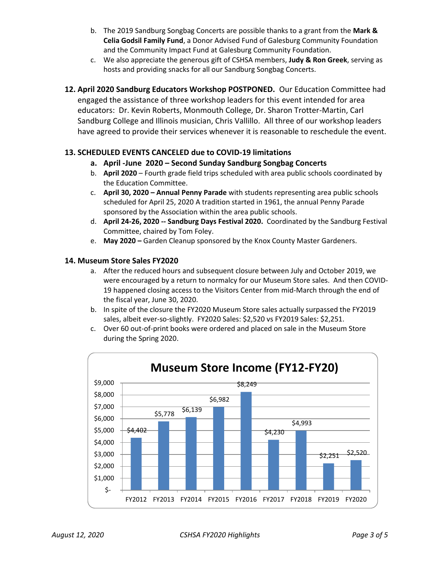- b. The 2019 Sandburg Songbag Concerts are possible thanks to a grant from the **Mark & Celia Godsil Family Fund**, a Donor Advised Fund of Galesburg Community Foundation and the Community Impact Fund at Galesburg Community Foundation.
- c. We also appreciate the generous gift of CSHSA members, **Judy & Ron Greek**, serving as hosts and providing snacks for all our Sandburg Songbag Concerts.
- **12. April 2020 Sandburg Educators Workshop POSTPONED.** Our Education Committee had engaged the assistance of three workshop leaders for this event intended for area educators: Dr. Kevin Roberts, Monmouth College, Dr. Sharon Trotter-Martin, Carl Sandburg College and Illinois musician, Chris Vallillo. All three of our workshop leaders have agreed to provide their services whenever it is reasonable to reschedule the event.

# **13. SCHEDULED EVENTS CANCELED due to COVID-19 limitations**

- **a. April -June 2020 – Second Sunday Sandburg Songbag Concerts**
- b. **April 2020** Fourth grade field trips scheduled with area public schools coordinated by the Education Committee.
- c. **April 30, 2020 – Annual Penny Parade** with students representing area public schools scheduled for April 25, 2020 A tradition started in 1961, the annual Penny Parade sponsored by the Association within the area public schools.
- d. **April 24-26, 2020 -- Sandburg Days Festival 2020.** Coordinated by the Sandburg Festival Committee, chaired by Tom Foley.
- e. **May 2020 –** Garden Cleanup sponsored by the Knox County Master Gardeners.

## **14. Museum Store Sales FY2020**

- a. After the reduced hours and subsequent closure between July and October 2019, we were encouraged by a return to normalcy for our Museum Store sales. And then COVID-19 happened closing access to the Visitors Center from mid-March through the end of the fiscal year, June 30, 2020.
- b. In spite of the closure the FY2020 Museum Store sales actually surpassed the FY2019 sales, albeit ever-so-slightly. FY2020 Sales: \$2,520 vs FY2019 Sales: \$2,251.
- c. Over 60 out-of-print books were ordered and placed on sale in the Museum Store during the Spring 2020.

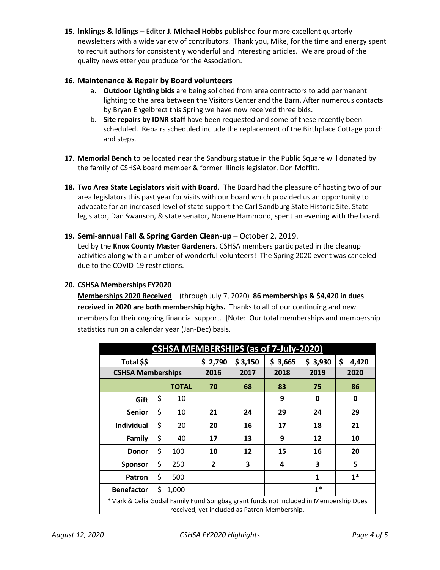**15. Inklings & Idlings** – Editor **J. Michael Hobbs** published four more excellent quarterly newsletters with a wide variety of contributors. Thank you, Mike, for the time and energy spent to recruit authors for consistently wonderful and interesting articles. We are proud of the quality newsletter you produce for the Association.

## **16. Maintenance & Repair by Board volunteers**

- a. **Outdoor Lighting bids** are being solicited from area contractors to add permanent lighting to the area between the Visitors Center and the Barn. After numerous contacts by Bryan Engelbrect this Spring we have now received three bids.
- b. **Site repairs by IDNR staff** have been requested and some of these recently been scheduled. Repairs scheduled include the replacement of the Birthplace Cottage porch and steps.
- **17. Memorial Bench** to be located near the Sandburg statue in the Public Square will donated by the family of CSHSA board member & former Illinois legislator, Don Moffitt.
- **18. Two Area State Legislators visit with Board**. The Board had the pleasure of hosting two of our area legislators this past year for visits with our board which provided us an opportunity to advocate for an increased level of state support the Carl Sandburg State Historic Site. State legislator, Dan Swanson, & state senator, Norene Hammond, spent an evening with the board.

## **19. Semi-annual Fall & Spring Garden Clean-up** – October 2, 2019.

Led by the **Knox County Master Gardeners**. CSHSA members participated in the cleanup activities along with a number of wonderful volunteers! The Spring 2020 event was canceled due to the COVID-19 restrictions.

#### **20. CSHSA Memberships FY2020**

**Memberships 2020 Received** – (through July 7, 2020) **86 memberships & \$4,420 in dues received in 2020 are both membership highs.** Thanks to all of our continuing and new members for their ongoing financial support. [Note: Our total memberships and membership statistics run on a calendar year (Jan-Dec) basis.

| <b>CSHSA MEMBERSHIPS (as of 7-July-2020)</b>                                                                                         |    |              |                |         |         |         |             |
|--------------------------------------------------------------------------------------------------------------------------------------|----|--------------|----------------|---------|---------|---------|-------------|
| Total \$\$                                                                                                                           |    |              | \$2,790        | \$3,150 | \$3,665 | \$3,930 | \$<br>4,420 |
| <b>CSHSA Memberships</b>                                                                                                             |    |              | 2016           | 2017    | 2018    | 2019    | 2020        |
|                                                                                                                                      |    | <b>TOTAL</b> | 70             | 68      | 83      | 75      | 86          |
| Gift                                                                                                                                 | \$ | 10           |                |         | 9       | 0       | 0           |
| <b>Senior</b>                                                                                                                        | \$ | 10           | 21             | 24      | 29      | 24      | 29          |
| <b>Individual</b>                                                                                                                    | \$ | 20           | 20             | 16      | 17      | 18      | 21          |
| <b>Family</b>                                                                                                                        | \$ | 40           | 17             | 13      | 9       | 12      | 10          |
| <b>Donor</b>                                                                                                                         | \$ | 100          | 10             | 12      | 15      | 16      | 20          |
| <b>Sponsor</b>                                                                                                                       | \$ | 250          | $\overline{2}$ | 3       | 4       | 3       | 5           |
| Patron                                                                                                                               | \$ | 500          |                |         |         | 1       | $1*$        |
| <b>Benefactor</b>                                                                                                                    | \$ | 1,000        |                |         |         | $1*$    |             |
| *Mark & Celia Godsil Family Fund Songbag grant funds not included in Membership Dues<br>received, yet included as Patron Membership. |    |              |                |         |         |         |             |